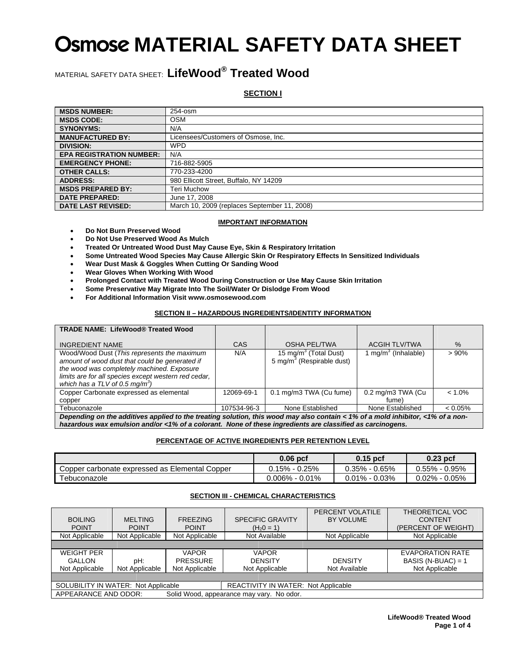### MATERIAL SAFETY DATA SHEET: **LifeWood® Treated Wood**

**SECTION I**

| <b>MSDS NUMBER:</b>             | 254-osm                                      |
|---------------------------------|----------------------------------------------|
| <b>MSDS CODE:</b>               | <b>OSM</b>                                   |
| <b>SYNONYMS:</b>                | N/A                                          |
| <b>MANUFACTURED BY:</b>         | Licensees/Customers of Osmose, Inc.          |
| <b>DIVISION:</b>                | <b>WPD</b>                                   |
| <b>EPA REGISTRATION NUMBER:</b> | N/A                                          |
| <b>EMERGENCY PHONE:</b>         | 716-882-5905                                 |
| <b>OTHER CALLS:</b>             | 770-233-4200                                 |
| <b>ADDRESS:</b>                 | 980 Ellicott Street, Buffalo, NY 14209       |
| <b>MSDS PREPARED BY:</b>        | Teri Muchow                                  |
| <b>DATE PREPARED:</b>           | June 17, 2008                                |
| <b>DATE LAST REVISED:</b>       | March 10, 2009 (replaces September 11, 2008) |

### **IMPORTANT INFORMATION**

- **Do Not Burn Preserved Wood**
- **Do Not Use Preserved Wood As Mulch**
- **Treated Or Untreated Wood Dust May Cause Eye, Skin & Respiratory Irritation**
- **Some Untreated Wood Species May Cause Allergic Skin Or Respiratory Effects In Sensitized Individuals**
- **Wear Dust Mask & Goggles When Cutting Or Sanding Wood**
- **Wear Gloves When Working With Wood**
- **Prolonged Contact with Treated Wood During Construction or Use May Cause Skin Irritation**
- **Some Preservative May Migrate Into The Soil/Water Or Dislodge From Wood**
- **For Additional Information Visit www.osmosewood.com**

### **SECTION II – HAZARDOUS INGREDIENTS/IDENTITY INFORMATION**

| <b>TRADE NAME: LifeWood® Treated Wood</b>                                                                                       |             |                                       |                                 |            |  |
|---------------------------------------------------------------------------------------------------------------------------------|-------------|---------------------------------------|---------------------------------|------------|--|
| <b>INGREDIENT NAME</b>                                                                                                          | CAS         | <b>OSHA PEL/TWA</b>                   | <b>ACGIH TLV/TWA</b>            | $\%$       |  |
| Wood/Wood Dust (This represents the maximum                                                                                     | N/A         | 15 mg/m <sup>3</sup> (Total Dust)     | 1 mg/m <sup>3</sup> (Inhalable) | >90%       |  |
| amount of wood dust that could be generated if                                                                                  |             | 5 mg/m <sup>3</sup> (Respirable dust) |                                 |            |  |
| the wood was completely machined. Exposure                                                                                      |             |                                       |                                 |            |  |
| limits are for all species except western red cedar,                                                                            |             |                                       |                                 |            |  |
| which has a TLV of 0.5 mg/m <sup>3</sup> )                                                                                      |             |                                       |                                 |            |  |
| Copper Carbonate expressed as elemental                                                                                         | 12069-69-1  | 0.1 mg/m3 TWA (Cu fume)               | 0.2 mg/m3 TWA (Cu               | $< 1.0\%$  |  |
| copper                                                                                                                          |             |                                       | fume)                           |            |  |
| Tebuconazole                                                                                                                    | 107534-96-3 | None Established                      | None Established                | $< 0.05\%$ |  |
| Depending on the additives applied to the treating solution, this wood may also contain < 1% of a mold inhibitor, <1% of a non- |             |                                       |                                 |            |  |
| hazardous wax emulsion and/or <1% of a colorant. None of these ingredients are classified as carcinogens.                       |             |                                       |                                 |            |  |

### **PERCENTAGE OF ACTIVE INGREDIENTS PER RETENTION LEVEL**

|                                                | $0.06$ pcf         | $0.15$ pcf        | $0.23$ pcf        |
|------------------------------------------------|--------------------|-------------------|-------------------|
| Copper carbonate expressed as Elemental Copper | $0.15\% - 0.25\%$  | $0.35\% - 0.65\%$ | $0.55\% - 0.95\%$ |
| Tebuconazole                                   | $0.006\% - 0.01\%$ | $0.01\% - 0.03\%$ | $0.02\% - 0.05\%$ |

### **SECTION III - CHEMICAL CHARACTERISTICS**

| <b>BOILING</b><br><b>POINT</b>                                    | <b>MELTING</b><br><b>POINT</b> | <b>FREEZING</b><br><b>POINT</b>                   | <b>SPECIFIC GRAVITY</b><br>$(H20 = 1)$           | PERCENT VOLATILE<br>BY VOLUME   | THEORETICAL VOC<br><b>CONTENT</b><br>(PERCENT OF WEIGHT)          |
|-------------------------------------------------------------------|--------------------------------|---------------------------------------------------|--------------------------------------------------|---------------------------------|-------------------------------------------------------------------|
| Not Applicable                                                    | Not Applicable                 | Not Applicable                                    | Not Available                                    | Not Applicable                  | Not Applicable                                                    |
|                                                                   |                                |                                                   |                                                  |                                 |                                                                   |
| <b>WEIGHT PER</b><br><b>GALLON</b><br>Not Applicable              | pH:<br>Not Applicable          | <b>VAPOR</b><br><b>PRESSURE</b><br>Not Applicable | <b>VAPOR</b><br><b>DENSITY</b><br>Not Applicable | <b>DENSITY</b><br>Not Available | <b>EVAPORATION RATE</b><br>BASIS (N-BUAC) = $1$<br>Not Applicable |
|                                                                   |                                |                                                   |                                                  |                                 |                                                                   |
| SOLUBILITY IN WATER: Not Applicable                               |                                |                                                   | <b>REACTIVITY IN WATER: Not Applicable</b>       |                                 |                                                                   |
| APPEARANCE AND ODOR:<br>Solid Wood, appearance may vary. No odor. |                                |                                                   |                                                  |                                 |                                                                   |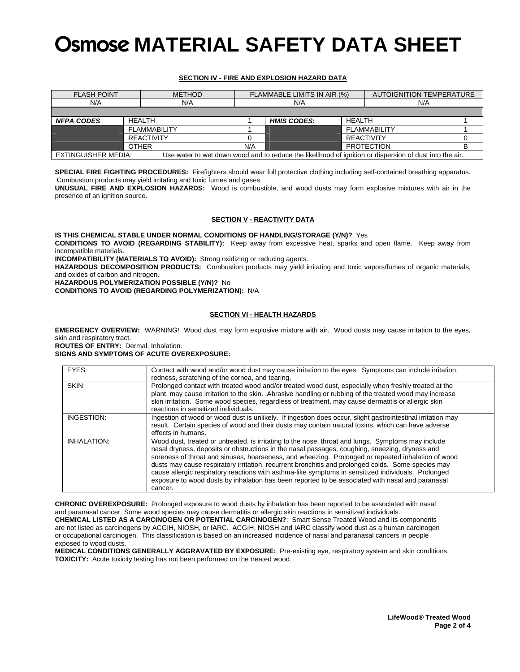### **SECTION IV - FIRE AND EXPLOSION HAZARD DATA**

| <b>FLASH POINT</b>                                                                                                             |               | <b>METHOD</b>     |     | FLAMMABLE LIMITS IN AIR (%) | AUTOIGNITION TEMPERATURE |                   |  |
|--------------------------------------------------------------------------------------------------------------------------------|---------------|-------------------|-----|-----------------------------|--------------------------|-------------------|--|
| N/A<br>N/A                                                                                                                     |               |                   | N/A |                             | N/A                      |                   |  |
|                                                                                                                                |               |                   |     |                             |                          |                   |  |
| <b>NFPA CODES</b>                                                                                                              | <b>HEALTH</b> |                   |     | <b>HMIS CODES:</b>          | HEALTH                   |                   |  |
| <b>FI AMMARII ITY</b>                                                                                                          |               |                   |     |                             | <b>FI AMMABILITY</b>     |                   |  |
|                                                                                                                                |               | <b>REACTIVITY</b> |     |                             |                          | REACTIVITY        |  |
|                                                                                                                                | <b>OTHER</b>  |                   | N/A |                             |                          | <b>PROTECTION</b> |  |
| EXTINGUISHER MEDIA:<br>Use water to wet down wood and to reduce the likelihood of ignition or dispersion of dust into the air. |               |                   |     |                             |                          |                   |  |

**SPECIAL FIRE FIGHTING PROCEDURES:** Firefighters should wear full protective clothing including self-contained breathing apparatus. Combustion products may yield irritating and toxic fumes and gases.

**UNUSUAL FIRE AND EXPLOSION HAZARDS:** Wood is combustible, and wood dusts may form explosive mixtures with air in the presence of an ignition source.

### **SECTION V - REACTIVITY DATA**

**IS THIS CHEMICAL STABLE UNDER NORMAL CONDITIONS OF HANDLING/STORAGE (Y/N)?** Yes **CONDITIONS TO AVOID (REGARDING STABILITY):** Keep away from excessive heat, sparks and open flame. Keep away from incompatible materials.

**INCOMPATIBILITY (MATERIALS TO AVOID):** Strong oxidizing or reducing agents.

**HAZARDOUS DECOMPOSITION PRODUCTS:** Combustion products may yield irritating and toxic vapors/fumes of organic materials, and oxides of carbon and nitrogen.

**HAZARDOUS POLYMERIZATION POSSIBLE (Y/N)?** No

**CONDITIONS TO AVOID (REGARDING POLYMERIZATION):** N/A

### **SECTION VI - HEALTH HAZARDS**

**EMERGENCY OVERVIEW:** WARNING! Wood dust may form explosive mixture with air. Wood dusts may cause irritation to the eyes, skin and respiratory tract.

**ROUTES OF ENTRY:** Dermal, Inhalation.

**SIGNS AND SYMPTOMS OF ACUTE OVEREXPOSURE:**

| EYES:              | Contact with wood and/or wood dust may cause irritation to the eyes. Symptoms can include irritation,       |  |  |  |
|--------------------|-------------------------------------------------------------------------------------------------------------|--|--|--|
|                    | redness, scratching of the cornea, and tearing.                                                             |  |  |  |
| SKIN:              | Prolonged contact with treated wood and/or treated wood dust, especially when freshly treated at the        |  |  |  |
|                    | plant, may cause irritation to the skin. . Abrasive handling or rubbing of the treated wood may increase    |  |  |  |
|                    | skin irritation. Some wood species, regardless of treatment, may cause dermatitis or allergic skin          |  |  |  |
|                    | reactions in sensitized individuals.                                                                        |  |  |  |
| INGESTION:         | Ingestion of wood or wood dust is unlikely. If ingestion does occur, slight gastrointestinal irritation may |  |  |  |
|                    | result. Certain species of wood and their dusts may contain natural toxins, which can have adverse          |  |  |  |
|                    | effects in humans.                                                                                          |  |  |  |
| <b>INHALATION:</b> | Wood dust, treated or untreated, is irritating to the nose, throat and lungs. Symptoms may include          |  |  |  |
|                    | nasal dryness, deposits or obstructions in the nasal passages, coughing, sneezing, dryness and              |  |  |  |
|                    | soreness of throat and sinuses, hoarseness, and wheezing. Prolonged or repeated inhalation of wood          |  |  |  |
|                    | dusts may cause respiratory irritation, recurrent bronchitis and prolonged colds. Some species may          |  |  |  |
|                    | cause allergic respiratory reactions with asthma-like symptoms in sensitized individuals. Prolonged         |  |  |  |
|                    | exposure to wood dusts by inhalation has been reported to be associated with nasal and paranasal            |  |  |  |
|                    | cancer.                                                                                                     |  |  |  |

**CHRONIC OVEREXPOSURE:** Prolonged exposure to wood dusts by inhalation has been reported to be associated with nasal and paranasal cancer. Some wood species may cause dermatitis or allergic skin reactions in sensitized individuals. **CHEMICAL LISTED AS A CARCINOGEN OR POTENTIAL CARCINOGEN?**: Smart Sense Treated Wood and its components are not listed as carcinogens by ACGIH, NIOSH, or IARC. ACGIH, NIOSH and IARC classify wood dust as a human carcinogen or occupational carcinogen. This classification is based on an increased incidence of nasal and paranasal cancers in people exposed to wood dusts.

**MEDICAL CONDITIONS GENERALLY AGGRAVATED BY EXPOSURE:** Pre-existing eye, respiratory system and skin conditions. **TOXICITY:** Acute toxicity testing has not been performed on the treated wood.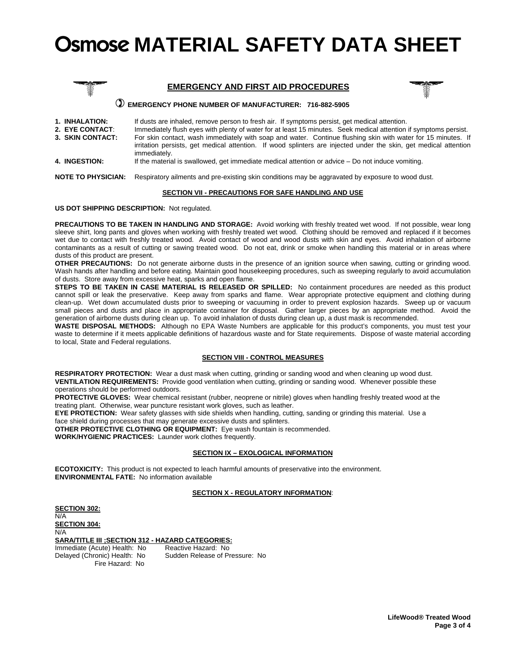



### **EMERGENCY PHONE NUMBER OF MANUFACTURER: 716-882-5905**

- **1. INHALATION:** If dusts are inhaled, remove person to fresh air. If symptoms persist, get medical attention.
- **2. EYE CONTACT**: Immediately flush eyes with plenty of water for at least 15 minutes. Seek medical attention if symptoms persist. For skin contact, wash immediately with soap and water. Continue flushing skin with water for 15 minutes. If irritation persists, get medical attention. If wood splinters are injected under the skin, get medical attention immediately.
- **4. INGESTION:** If the material is swallowed, get immediate medical attention or advice Do not induce vomiting.

**NOTE TO PHYSICIAN:** Respiratory ailments and pre-existing skin conditions may be aggravated by exposure to wood dust.

#### **SECTION VII - PRECAUTIONS FOR SAFE HANDLING AND USE**

#### **US DOT SHIPPING DESCRIPTION:** Not regulated.

**PRECAUTIONS TO BE TAKEN IN HANDLING AND STORAGE:** Avoid working with freshly treated wet wood. If not possible, wear long sleeve shirt, long pants and gloves when working with freshly treated wet wood. Clothing should be removed and replaced if it becomes wet due to contact with freshly treated wood. Avoid contact of wood and wood dusts with skin and eyes. Avoid inhalation of airborne contaminants as a result of cutting or sawing treated wood. Do not eat, drink or smoke when handling this material or in areas where dusts of this product are present.

**OTHER PRECAUTIONS:** Do not generate airborne dusts in the presence of an ignition source when sawing, cutting or grinding wood. Wash hands after handling and before eating. Maintain good housekeeping procedures, such as sweeping regularly to avoid accumulation of dusts. Store away from excessive heat, sparks and open flame.

**STEPS TO BE TAKEN IN CASE MATERIAL IS RELEASED OR SPILLED:** No containment procedures are needed as this product cannot spill or leak the preservative. Keep away from sparks and flame. Wear appropriate protective equipment and clothing during clean-up. Wet down accumulated dusts prior to sweeping or vacuuming in order to prevent explosion hazards. Sweep up or vacuum small pieces and dusts and place in appropriate container for disposal. Gather larger pieces by an appropriate method. Avoid the generation of airborne dusts during clean up. To avoid inhalation of dusts during clean up, a dust mask is recommended.

**WASTE DISPOSAL METHODS:** Although no EPA Waste Numbers are applicable for this product's components, you must test your waste to determine if it meets applicable definitions of hazardous waste and for State requirements. Dispose of waste material according to local, State and Federal regulations.

### **SECTION VIII - CONTROL MEASURES**

**RESPIRATORY PROTECTION:** Wear a dust mask when cutting, grinding or sanding wood and when cleaning up wood dust. **VENTILATION REQUIREMENTS:** Provide good ventilation when cutting, grinding or sanding wood. Whenever possible these operations should be performed outdoors.

PROTECTIVE GLOVES: Wear chemical resistant (rubber, neoprene or nitrile) gloves when handling freshly treated wood at the treating plant. Otherwise, wear puncture resistant work gloves, such as leather.

**EYE PROTECTION:** Wear safety glasses with side shields when handling, cutting, sanding or grinding this material. Use a face shield during processes that may generate excessive dusts and splinters.

**OTHER PROTECTIVE CLOTHING OR EQUIPMENT:** Eye wash fountain is recommended.

**WORK/HYGIENIC PRACTICES:** Launder work clothes frequently.

### **SECTION IX – EXOLOGICAL INFORMATION**

**ECOTOXICITY:** This product is not expected to leach harmful amounts of preservative into the environment. **ENVIRONMENTAL FATE:** No information available

### **SECTION X - REGULATORY INFORMATION**:

| <b>SECTION 302:</b>                               |                                |
|---------------------------------------------------|--------------------------------|
| N/A                                               |                                |
| <b>SECTION 304:</b>                               |                                |
| N/A                                               |                                |
| SARA/TITLE III ; SECTION 312 - HAZARD CATEGORIES: |                                |
| Immediate (Acute) Health: No                      | Reactive Hazard: No            |
| Delayed (Chronic) Health: No                      | Sudden Release of Pressure: No |
| Fire Hazard: No                                   |                                |